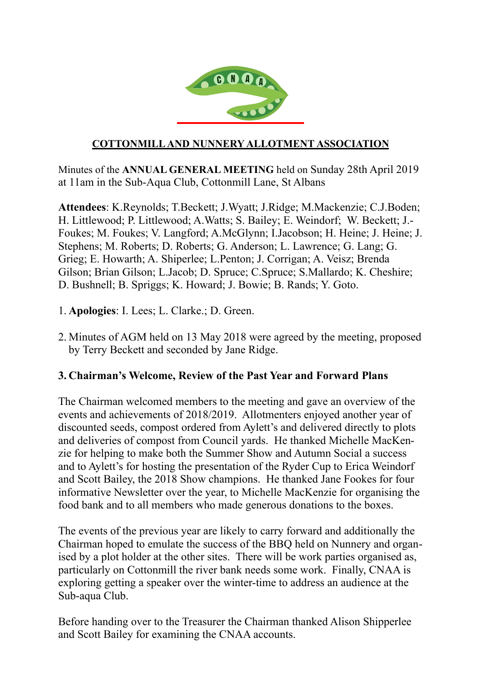

#### **COTTONMILL AND NUNNERY ALLOTMENT ASSOCIATION**

Minutes of the **ANNUAL GENERAL MEETING** held on Sunday 28th April 2019 at 11am in the Sub-Aqua Club, Cottonmill Lane, St Albans

**Attendees**: K.Reynolds; T.Beckett; J.Wyatt; J.Ridge; M.Mackenzie; C.J.Boden; H. Littlewood; P. Littlewood; A.Watts; S. Bailey; E. Weindorf; W. Beckett; J.- Foukes; M. Foukes; V. Langford; A.McGlynn; I.Jacobson; H. Heine; J. Heine; J. Stephens; M. Roberts; D. Roberts; G. Anderson; L. Lawrence; G. Lang; G. Grieg; E. Howarth; A. Shiperlee; L.Penton; J. Corrigan; A. Veisz; Brenda Gilson; Brian Gilson; L.Jacob; D. Spruce; C.Spruce; S.Mallardo; K. Cheshire; D. Bushnell; B. Spriggs; K. Howard; J. Bowie; B. Rands; Y. Goto.

- 1. **Apologies**: I. Lees; L. Clarke.; D. Green.
- 2. Minutes of AGM held on 13 May 2018 were agreed by the meeting, proposed by Terry Beckett and seconded by Jane Ridge.

#### **3. Chairman's Welcome, Review of the Past Year and Forward Plans**

The Chairman welcomed members to the meeting and gave an overview of the events and achievements of 2018/2019. Allotmenters enjoyed another year of discounted seeds, compost ordered from Aylett's and delivered directly to plots and deliveries of compost from Council yards. He thanked Michelle MacKenzie for helping to make both the Summer Show and Autumn Social a success and to Aylett's for hosting the presentation of the Ryder Cup to Erica Weindorf and Scott Bailey, the 2018 Show champions. He thanked Jane Fookes for four informative Newsletter over the year, to Michelle MacKenzie for organising the food bank and to all members who made generous donations to the boxes.

The events of the previous year are likely to carry forward and additionally the Chairman hoped to emulate the success of the BBQ held on Nunnery and organised by a plot holder at the other sites. There will be work parties organised as, particularly on Cottonmill the river bank needs some work. Finally, CNAA is exploring getting a speaker over the winter-time to address an audience at the Sub-aqua Club.

Before handing over to the Treasurer the Chairman thanked Alison Shipperlee and Scott Bailey for examining the CNAA accounts.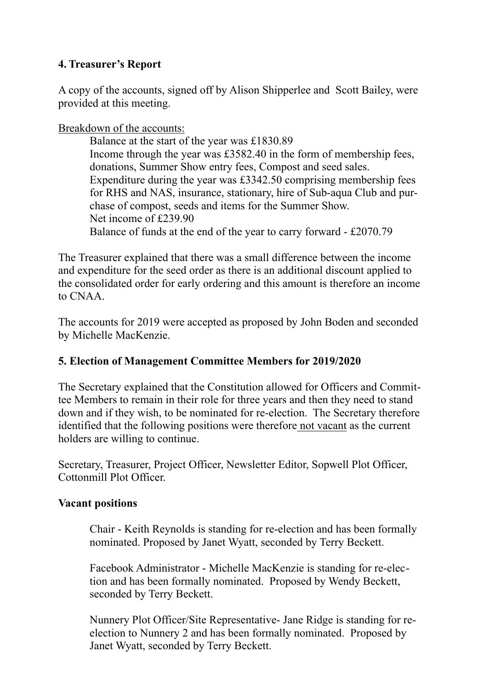# **4. Treasurer's Report**

A copy of the accounts, signed off by Alison Shipperlee and Scott Bailey, were provided at this meeting.

Breakdown of the accounts:

Balance at the start of the year was £1830.89 Income through the year was £3582.40 in the form of membership fees, donations, Summer Show entry fees, Compost and seed sales. Expenditure during the year was £3342.50 comprising membership fees for RHS and NAS, insurance, stationary, hire of Sub-aqua Club and purchase of compost, seeds and items for the Summer Show. Net income of £239.90 Balance of funds at the end of the year to carry forward - £2070.79

The Treasurer explained that there was a small difference between the income and expenditure for the seed order as there is an additional discount applied to the consolidated order for early ordering and this amount is therefore an income to CNAA.

The accounts for 2019 were accepted as proposed by John Boden and seconded by Michelle MacKenzie.

## **5. Election of Management Committee Members for 2019/2020**

The Secretary explained that the Constitution allowed for Officers and Committee Members to remain in their role for three years and then they need to stand down and if they wish, to be nominated for re-election. The Secretary therefore identified that the following positions were therefore not vacant as the current holders are willing to continue.

Secretary, Treasurer, Project Officer, Newsletter Editor, Sopwell Plot Officer, Cottonmill Plot Officer.

## **Vacant positions**

Chair - Keith Reynolds is standing for re-election and has been formally nominated. Proposed by Janet Wyatt, seconded by Terry Beckett.

Facebook Administrator - Michelle MacKenzie is standing for re-election and has been formally nominated. Proposed by Wendy Beckett, seconded by Terry Beckett.

Nunnery Plot Officer/Site Representative- Jane Ridge is standing for reelection to Nunnery 2 and has been formally nominated. Proposed by Janet Wyatt, seconded by Terry Beckett.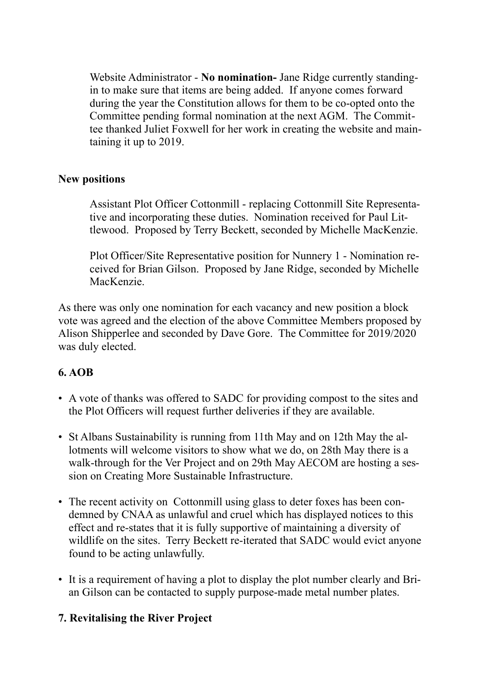Website Administrator - **No nomination-** Jane Ridge currently standingin to make sure that items are being added. If anyone comes forward during the year the Constitution allows for them to be co-opted onto the Committee pending formal nomination at the next AGM. The Committee thanked Juliet Foxwell for her work in creating the website and maintaining it up to 2019.

#### **New positions**

Assistant Plot Officer Cottonmill - replacing Cottonmill Site Representative and incorporating these duties. Nomination received for Paul Littlewood. Proposed by Terry Beckett, seconded by Michelle MacKenzie.

Plot Officer/Site Representative position for Nunnery 1 - Nomination received for Brian Gilson. Proposed by Jane Ridge, seconded by Michelle MacKenzie.

As there was only one nomination for each vacancy and new position a block vote was agreed and the election of the above Committee Members proposed by Alison Shipperlee and seconded by Dave Gore. The Committee for 2019/2020 was duly elected.

## **6. AOB**

- A vote of thanks was offered to SADC for providing compost to the sites and the Plot Officers will request further deliveries if they are available.
- St Albans Sustainability is running from 11th May and on 12th May the allotments will welcome visitors to show what we do, on 28th May there is a walk-through for the Ver Project and on 29th May AECOM are hosting a session on Creating More Sustainable Infrastructure.
- The recent activity on Cottonmill using glass to deter foxes has been condemned by CNAA as unlawful and cruel which has displayed notices to this effect and re-states that it is fully supportive of maintaining a diversity of wildlife on the sites. Terry Beckett re-iterated that SADC would evict anyone found to be acting unlawfully.
- It is a requirement of having a plot to display the plot number clearly and Brian Gilson can be contacted to supply purpose-made metal number plates.

## **7. Revitalising the River Project**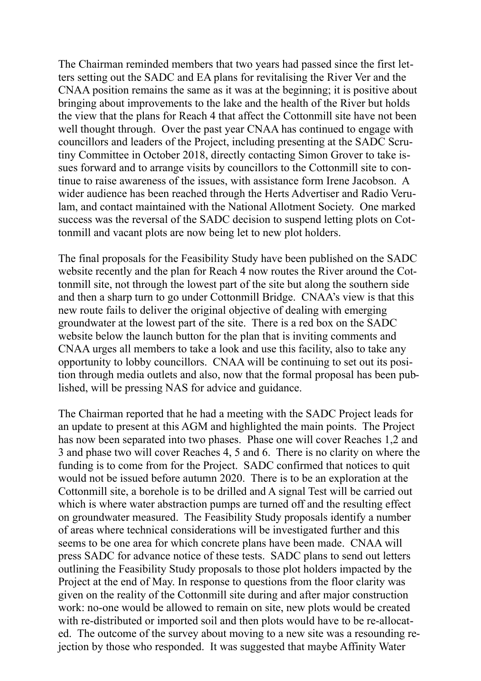The Chairman reminded members that two years had passed since the first letters setting out the SADC and EA plans for revitalising the River Ver and the CNAA position remains the same as it was at the beginning; it is positive about bringing about improvements to the lake and the health of the River but holds the view that the plans for Reach 4 that affect the Cottonmill site have not been well thought through. Over the past year CNAA has continued to engage with councillors and leaders of the Project, including presenting at the SADC Scrutiny Committee in October 2018, directly contacting Simon Grover to take issues forward and to arrange visits by councillors to the Cottonmill site to continue to raise awareness of the issues, with assistance form Irene Jacobson. A wider audience has been reached through the Herts Advertiser and Radio Verulam, and contact maintained with the National Allotment Society. One marked success was the reversal of the SADC decision to suspend letting plots on Cottonmill and vacant plots are now being let to new plot holders.

The final proposals for the Feasibility Study have been published on the SADC website recently and the plan for Reach 4 now routes the River around the Cottonmill site, not through the lowest part of the site but along the southern side and then a sharp turn to go under Cottonmill Bridge. CNAA's view is that this new route fails to deliver the original objective of dealing with emerging groundwater at the lowest part of the site. There is a red box on the SADC website below the launch button for the plan that is inviting comments and CNAA urges all members to take a look and use this facility, also to take any opportunity to lobby councillors. CNAA will be continuing to set out its position through media outlets and also, now that the formal proposal has been published, will be pressing NAS for advice and guidance.

The Chairman reported that he had a meeting with the SADC Project leads for an update to present at this AGM and highlighted the main points. The Project has now been separated into two phases. Phase one will cover Reaches 1,2 and 3 and phase two will cover Reaches 4, 5 and 6. There is no clarity on where the funding is to come from for the Project. SADC confirmed that notices to quit would not be issued before autumn 2020. There is to be an exploration at the Cottonmill site, a borehole is to be drilled and A signal Test will be carried out which is where water abstraction pumps are turned off and the resulting effect on groundwater measured. The Feasibility Study proposals identify a number of areas where technical considerations will be investigated further and this seems to be one area for which concrete plans have been made. CNAA will press SADC for advance notice of these tests. SADC plans to send out letters outlining the Feasibility Study proposals to those plot holders impacted by the Project at the end of May. In response to questions from the floor clarity was given on the reality of the Cottonmill site during and after major construction work: no-one would be allowed to remain on site, new plots would be created with re-distributed or imported soil and then plots would have to be re-allocated. The outcome of the survey about moving to a new site was a resounding rejection by those who responded. It was suggested that maybe Affinity Water